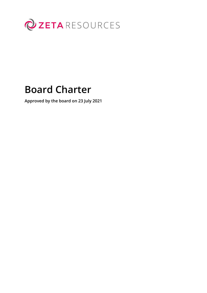

# **Board Charter**

**Approved by the board on 23 July 2021**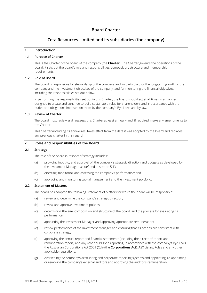# **Board Charter**

## **Zeta Resources Limited and its subsidiaries (the company)**

#### **1. Introduction**

#### **1.1 Purpose of Charter**

This is the Charter of the board of the company (the **Charter**). The Charter governs the operations of the board. It sets out the board's role and responsibilities, composition, structure and membership requirements.

#### **1.2 Role of Board**

The board is responsible for stewardship of the company and, in particular, for the long-term growth of the company and the investment objectives of the company, and for monitoring the financial objectives, including the responsibilities set out below.

In performing the responsibilities set out in this Charter, the board should act at all times in a manner designed to create and continue to build sustainable value for shareholders and in accordance with the duties and obligations imposed on them by the company's Bye-Laws and by law.

#### **1.3 Review of Charter**

The board must review and reassess this Charter at least annually and, if required, make any amendments to the Charter.

This Charter (including its annexures) takes effect from the date it was adopted by the board and replaces any previous charter in this regard.

## **2. Roles and responsibilities of the Board**

#### **2.1 Strategy**

The role of the board in respect of strategy includes:

- (a) providing input to, and approval of, the company's strategic direction and budgets as developed by the Investment Manager (as defined in section 5.1);
- (b) directing, monitoring and assessing the company's performance; and
- (c) approving and monitoring capital management and the investment portfolio.

#### **2.2 Statement of Matters**

The board has adopted the following Statement of Matters for which the board will be responsible:

- (a) review and determine the company's strategic direction;
- (b) review and approve investment policies;
- (c) determining the size, composition and structure of the board, and the process for evaluating its performance;
- (d) appointing the Investment Manager and approving appropriate remuneration;
- (e) review performance of the Investment Manager and ensuring that its actions are consistent with corporate strategy;
- (f) approving the annual report and financial statements (including the directors' report and remuneration report) and any other published reporting, in accordance with the company's Bye Laws, the Australian Corporations Act 2001 (Cth) (the **Corporations Act**), ASX Listing Rules and any other applicable regulations;
- (g) overseeing the company's accounting and corporate reporting systems and appointing, re-appointing or removing the company's external auditors and approving the auditor's remuneration;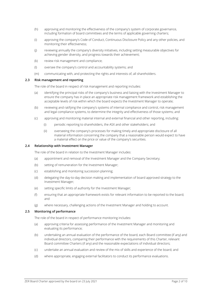- (h) approving and monitoring the effectiveness of the company's system of corporate governance, including formation of board committees and the terms of applicable governing charters;
- (i) approving the company's Code of Conduct, Continuous Disclosure Policy and any other policies, and monitoring their effectiveness;
- (j) reviewing annually the company's diversity initiatives, including setting measurable objectives for achieving gender diversity, and progress towards their achievement;
- (k) review risk management and compliance;
- (l) oversee the company's control and accountability systems; and
- (m) communicating with, and protecting the rights and interests of, all shareholders.

#### **2.3 Risk management and reporting**

The role of the board in respect of risk management and reporting includes:

- (a) identifying the principal risks of the company's business and liaising with the Investment Manager to ensure the company has in place an appropriate risk management framework and establishing the acceptable levels of risk within which the board expects the Investment Manager to operate;
- (b) reviewing and ratifying the company's systems of internal compliance and control, risk management and legal compliance systems, to determine the integrity and effectiveness of those systems; and
- (c) approving and monitoring material internal and external financial and other reporting, including:
	- (i) periodic reporting to shareholders, the ASX and other stakeholders; and
	- (ii) overseeing the company's processes for making timely and appropriate disclosure of all material information concerning the company that a reasonable person would expect to have a material effect on the price or value of the company's securities.

#### **2.4 Relationship with Investment Manager**

The role of the board in relation to the Investment Manager includes:

- (a) appointment and removal of the Investment Manager and the Company Secretary;
- (b) setting of remuneration for the Investment Manager;
- (c) establishing and monitoring succession planning;
- (d) delegating the day-to-day decision making and implementation of board approved strategy to the Investment Manager;
- (e) setting specific limits of authority for the Investment Manager;
- (f) ensuring that an appropriate framework exists for relevant information to be reported to the board; and
- (g) where necessary, challenging actions of the Investment Manager and holding to account.

#### **2.5 Monitoring of performance**

The role of the board in respect of performance monitoring includes:

- (a) approving criteria for assessing performance of the Investment Manager and monitoring and evaluating its performance;
- (b) undertaking an annual evaluation of the performance of the board, each Board committee (if any) and individual directors, comparing their performance with the requirements of this Charter, relevant Board committee Charters (if any) and the reasonable expectations of individual directors;
- (c) undertake an annual evaluation and review of the mix of skills and experience of the board; and
- (d) where appropriate, engaging external facilitators to conduct its performance evaluations.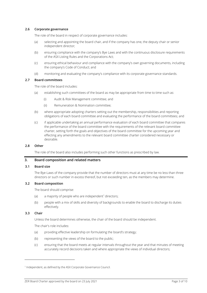#### **2.6 Corporate governance**

The role of the board in respect of corporate governance includes:

- (a) selecting and appointing the board chair, and if the company has one, the deputy chair or senior independent director;
- (b) ensuring compliance with the company's Bye Laws and with the continuous disclosure requirements of the ASX Listing Rules and the Corporations Act;
- (c) ensuring ethical behaviour and compliance with the company's own governing documents, including the company's Code of Conduct; and
- (d) monitoring and evaluating the company's compliance with its corporate governance standards.

#### **2.7 Board committees**

The role of the board includes:

- (a) establishing such committees of the board as may be appropriate from time to time such as:
	- (i) Audit & Risk Management committee; and
	- (ii) Remuneration & Nomination committee;
- (b) where appropriate adopting charters setting out the membership, responsibilities and reporting obligations of each board committee and evaluating the performance of the board committees; and
- (c) if applicable undertaking an annual performance evaluation of each board committee that compares the performance of the board committee with the requirements of the relevant board committee charter, setting forth the goals and objectives of the board committee for the upcoming year and effecting any amendments to the relevant board committee charter considered necessary or desirable.

## **2.8 Other**

The role of the board also includes performing such other functions as prescribed by law.

#### **3. Board composition and related matters**

#### **3.1 Board size**

The Bye-Laws of the company provide that the number of directors must at any time be no less than three directors or such number in excess thereof, but not exceeding ten, as the members may determine.

#### **3.2 Board composition**

The board should comprise:

- (a) a majority of people who are independent<sup>1</sup> directors;
- (b) people with a mix of skills and diversity of backgrounds to enable the board to discharge its duties effectively.

#### **3.3 Chair**

Unless the board determines otherwise, the chair of the board should be independent.

The chair's role includes:

- (a) providing effective leadership on formulating the board's strategy;
- (b) representing the views of the board to the public;
- (c) ensuring that the board meets at regular intervals throughout the year and that minutes of meeting accurately record decisions taken and where appropriate the views of individual directors;

<sup>&</sup>lt;sup>1</sup> Independent, as defined by the ASX Corporate Governance Council.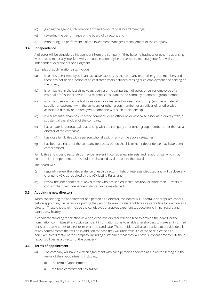- (d) guiding the agenda, information flow and conduct of all board meetings;
- (e) reviewing the performance of the board of directors; and
- (f) monitoring the performance of the Investment Manager's management of the company.

#### **3.4 Independence**

A director will be considered independent from the company if they have no business or other relationship which could materially interfere with, or could reasonably be perceived to materially interfere with, the independent exercise of their judgment.

Examples of such relationships include:

- (a) is, or has been, employed in an executive capacity by the company or another group member, and there has not been a period of at least three years between ceasing such employment and serving on the board;
- (b) is, or has within the last three years been, a principal, partner, director, or senior employee of a material professional adviser or a material consultant to the company or another group member;
- (c) is, or has been within the last three years, in a material business relationship (such as a material supplier or customer) with the company or other group member, or an officer of, or otherwise associated directly or indirectly with, someone with such a relationship;
- (d) is a substantial shareholder of the company, or an officer of, or otherwise associated directly with, a substantial shareholder of the company;
- (e) has a material contractual relationship with the company or another group member other than as a director of the company;
- (f) has close family ties with a person who falls within any of the above categories;
- (g) has been a director of the company for such a period that his or her independence may have been compromised.

Family ties and cross-directorships may be relevant in considering interests and relationships which may compromise independence and should be disclosed by directors to the board.

The board will:

- (a) regularly review the independence of each director in light of interests disclosed and will disclose any change to ASX, as required by the ASX Listing Rules; and
- (b) review the independence of any director who has served in that position for more than 10 years to confirm that their independent status can be maintained.

#### **3.5 Appointing new directors**

When considering the appointment of a person as a director, the board will undertake appropriate checks before appointing the person, or putting the person forward to shareholders as a candidate for election as a director. These checks will include the candidate's character, experience, education, criminal record and bankruptcy history.

A candidate standing for election as a non-executive director will be asked to provide the board, or the nomination committee (if any), with sufficient information so as to enable shareholders to make an informed decision as to whether to elect or re-elect the candidate. The candidate will also be asked to provide details of any commitments that will be in addition to those they will undertake if elected or re-elected as a non-executive director of the company, including a statement that they will have sufficient time to fulfil their responsibilities as a director of the company.

## **3.6 Terms of appointment**

- (a) The company will have a written agreement with each person appointed as a director setting out the terms of their appointment, including:
	- (i) the term of appointment;
	- (ii) the time commitment envisaged;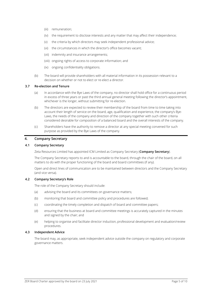- (iii) remuneration;
- (iv) the requirement to disclose interests and any matter that may affect their independence;
- (v) the criteria by which directors may seek independent professional advice;
- (vi) the circumstances in which the director's office becomes vacant;
- (vii) indemnity and insurance arrangements;
- (viii) ongoing rights of access to corporate information; and
- (ix) ongoing confidentiality obligations.
- (b) The board will provide shareholders with all material information in its possession relevant to a decision on whether or not to elect or re-elect a director.

#### **3.7 Re-election and Tenure**

- (a) In accordance with the Bye Laws of the company, no director shall hold office for a continuous period in excess of three years or past the third annual general meeting following the director's appointment, whichever is the longer, without submitting for re-election.
- (b) The directors are expected to review their membership of the board from time to time taking into account their length of service on the board, age, qualification and experience, the company's Bye-Laws, the needs of the company and direction of the company together with such other criteria considered desirable for composition of a balanced board and the overall interests of the company.
- (c) Shareholders have the authority to remove a director at any special meeting convened for such purpose as provided by the Bye Laws of the company.

#### **4. Company Secretary**

#### **4.1 Company Secretary**

Zeta Resources Limited has appointed ICM Limited as Company Secretary (**Company Secretary**).

The Company Secretary reports to and is accountable to the board, through the chair of the board, on all matters to do with the proper functioning of the board and board committees (if any).

Open and direct lines of communication are to be maintained between directors and the Company Secretary (and vice versa).

#### **4.2 Company Secretary's Role**

The role of the Company Secretary should include:

- (a) advising the board and its committees on governance matters;
- (b) monitoring that board and committee policy and procedures are followed;
- (c) coordinating the timely completion and dispatch of board and committee papers;
- (d) ensuring that the business at board and committee meetings is accurately captured in the minutes and signed by the chair; and
- (e) helping to organise and facilitate director induction, professional development and evaluation/review procedures.

#### **4.3 Independent Advice**

The board may, as appropriate, seek independent advice outside the company on regulatory and corporate governance matters.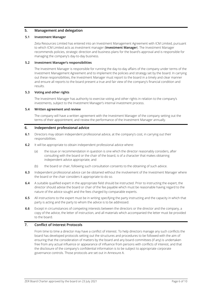## **5. Management and delegation**

## **5.1 Investment Manager**

Zeta Resources Limited has entered into an Investment Management Agreement with ICM Limited, pursuant to which ICM Limited acts as investment manager (**Investment Manager**). The Investment Manager recommends policies, strategic direction and business plans for the board's approval and is responsible for managing the company's day-to-day business.

#### **5.2 Investment Manager's responsibilities**

The Investment Manager is responsible for running the day-to-day affairs of the company under terms of the Investment Management Agreement and to implement the policies and strategy set by the board. In carrying out these responsibilities, the Investment Manager must report to the board in a timely and clear manner and ensure all reports to the board present a true and fair view of the company's financial condition and results.

#### **5.3 Voting and other rights**

The Investment Manager has authority to exercise voting and other rights in relation to the company's investments, subject to the Investment Manager's internal investment process.

#### **5.4 Written agreement and review**

The company will have a written agreement with the Investment Manager of the company setting out the terms of their appointment; and review the performance of the Investment Manager annually.

## **6. Independent professional advice**

- **6.1** Directors may obtain independent professional advice, at the company's cost, in carrying out their responsibilities.
- **6.2** It will be appropriate to obtain independent professional advice where:
	- (a) the issue or recommendation in question is one which the director reasonably considers, after consulting with the board or the chair of the board, is of a character that makes obtaining independent advice appropriate; and
	- (b) the board or chair, following such consultation consents to the obtaining of such advice.
- **6.3** Independent professional advice can be obtained without the involvement of the Investment Manager where the board or the chair considers it appropriate to do so.
- **6.4** A suitable qualified expert in the appropriate field should be instructed. Prior to instructing the expert, the director should advise the board or chair of the fee payable which must be reasonable having regard to the nature of the advice sought and the fees charged by comparable experts.
- **6.5** All instructions to the expert must be in writing specifying the party instructing and the capacity in which that party is acting and the party to whom the advice is to be addressed.
- **6.6** Except in circumstances of competing interests between the directors or the director and the company, a copy of the advice, the letter of instruction, and all materials which accompanied the letter must be provided to the board.

## **7. Conflict of Interest Protocols**

From time to time a director may have a conflict of interest. To help directors manage any such conflicts the board has developed protocols setting out the structures and procedures to be followed with the aim of ensuring that the consideration of matters by the board and any board committees (if any) is undertaken free from any actual influence or appearance of influence from persons with conflicts of interest, and that the disclosure of the company's confidential information is to be subject to appropriate corporate governance controls. Those protocols are set out in [Annexure](#page-8-0) A.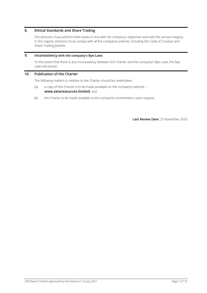## **8. Ethical Standards and Share Trading**

The directors must perform their duties in line with the company's objectives and with the utmost integrity. In this regard, director's must comply with all the company's policies, including the Code of Conduct and Share Trading policies.

#### **9. Inconsistency with the company's Bye-Laws**

To the extent that there is any inconsistency between this Charter and the company's Bye-Laws, the Bye-Laws will prevail.

## **10. Publication of the Charter**

The following matters in relation to the Charter should be undertaken:

- (a) a copy of this Charter is to be made available on the company's website **[www.zetaresources.limited](http://www.zetaresources.limited/)**; and
- (b) the Charter to be made available to the company's shareholders upon request.

**Last Review Date:** 25 November 2020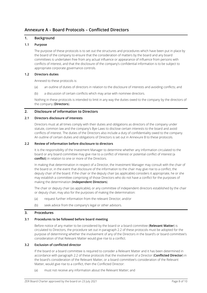# <span id="page-8-0"></span>**Annexure A – Board Protocols – Conflicted Directors**

## **1. Background**

## **1.1 Purpose**

The purpose of these protocols is to set out the structures and procedures which have been put in place by the board of the company to ensure that the consideration of matters by the board and any board committees is undertaken free from any actual influence or appearance of influence from persons with conflicts of interest, and that the disclosure of the company's confidential information is to be subject to appropriate corporate governance controls.

#### **1.2 Directors duties**

Annexed to these protocols is:

- (a) an outline of duties of directors in relation to the disclosure of interests and avoiding conflicts; and
- (b) a discussion of certain conflicts which may arise with nominee directors.

Nothing in these protocols is intended to limit in any way the duties owed to the company by the directors of the company (**Directors**).

#### **2. Disclosure of information to Directors**

#### **2.1 Directors disclosure of interests**

Directors must at all times comply with their duties and obligations as directors of the company under statute, common law and the company's Bye-Laws to disclose certain interests to the board and avoid conflicts of interest. The duties of the Directors also include a duty of confidentiality owed to the company. An outline of certain duties and obligations of Directors is set out i[n Annexure](#page-10-0) B to these protocols.

#### <span id="page-8-1"></span>**2.2 Review of information before disclosure to directors**

It is the responsibility of the Investment Manager to determine whether any information circulated to the board or any board committee may give rise to a conflict of interest or potential conflict of interest (a **conflict**) in relation to one or more of the Directors.

In making that determination in respect of a Director, the Investment Manager may consult with the chair of the board or, in the event that disclosure of the information to the chair may give rise to a conflict, the deputy chair of the board. If the chair or the deputy chair (as applicable) considers it appropriate, he or she may establish a committee comprising of those Directors who do not have a conflict for the purposes of making the determination (**Independent Directors**).

The chair or deputy chair (as applicable), or any committee of independent directors established by the chair or deputy chair, may also for the purposes of making the determination:

- (a) request further information from the relevant Director; and/or
- (b) seek advice from the company's legal or other advisors.

## **3. Procedures**

## **3.1 Procedures to be followed before board meeting**

Before notice of any matter to be considered by the board or a board committee (**Relevant Matter**) is circulated to Directors, the procedure set out in paragraph [2.2](#page-8-1) of these protocols must be adopted for the purpose of determining whether the involvement of any of the Directors in the board's or board committee's consideration of that Relevant Matter would give rise to a conflict.

## <span id="page-8-2"></span>**3.2 Exclusion of conflicted director**

If the board or a board committee is required to consider a Relevant Matter and it has been determined in accordance with paragraph [2.2](#page-8-1) of these protocols that the involvement of a Director (**Conflicted Director**) in the board's consideration of the Relevant Matter, or a board committee's consideration of the Relevant Matter, would give rise to a conflict, then the Conflicted Director:

(a) must not receive any information about the Relevant Matter; and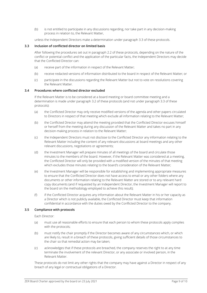(b) is not entitled to participate in any discussions regarding, nor take part in any decision-making process in relation to, the Relevant Matter,

unless the Independent Directors make a determination under paragraph [3.3](#page-9-0) of these protocols.

#### <span id="page-9-0"></span>**3.3 Inclusion of conflicted director on limited basis**

After following the procedures set out in paragraph [2.2](#page-8-1) of these protocols, depending on the nature of the conflict or potential conflict and the application of the particular facts, the Independent Directors may decide that the Conflicted Director can:

- (a) receive part of the information in respect of the Relevant Matter;
- (b) receive redacted versions of information distributed to the board in respect of the Relevant Matter; or
- (c) participate in the discussions regarding the Relevant Matter but not to vote on resolutions covering the Relevant Matter.

#### **3.4 Procedures where conflicted director excluded**

If the Relevant Matter is to be considered at a board meeting or board committee meeting and a determination is made under paragraph [3.2](#page-8-2) of these protocols (and not under paragraph [3.3](#page-9-0) of these protocols):

- (a) the Conflicted Director may only receive modified versions of the agenda and other papers circulated to Directors in respect of that meeting which exclude all information relating to the Relevant Matter;
- (b) the Conflicted Director may attend the meeting provided that the Conflicted Director excuses himself or herself from the meeting during any discussion of the Relevant Matter and takes no part in any decision-making process in relation to the Relevant Matter;
- (c) the Independent Directors must not disclose to the Conflicted Director any information relating to the Relevant Matter including the content of any relevant discussions at board meetings and any other relevant discussions, negotiations or agreements;
- (d) the Investment Manager will prepare minutes of all meetings of the board and circulate those minutes to the members of the board. However, if the Relevant Matter was considered at a meeting, the Conflicted Director will only be provided with a modified version of the minutes of that meeting which excludes those minutes relating to the board's consideration of the Relevant Matter;
- (e) the Investment Manager will be responsible for establishing and implementing appropriate measures to ensure that the Conflicted Director does not have access to email or any other folders where any documents or other information relating to the Relevant Matter are stored or to any relevant hard copy documents (and if requested by an Independent Director, the Investment Manager will report to the board on the methodology employed to achieve this result);
- (f) if the Conflicted Director acquires any information about the Relevant Matter in his or her capacity as a Director which is not publicly available, the Conflicted Director must keep that information confidential in accordance with the duties owed by the Conflicted Director to the company.

#### **3.5 Compliance with protocols**

Each Director:

- (a) must use all reasonable efforts to ensure that each person to whom these protocols apply complies with the protocols;
- (b) must notify the chair promptly if the Director becomes aware of any circumstances which, or which are likely to, result in a breach of these protocols, giving sufficient details of those circumstances to the chair so that remedial action may be taken;
- (c) acknowledges that if these protocols are breached, the company reserves the right to at any time terminate the involvement of the relevant Director, or any associate or involved person, in the Relevant Matter.

These protocols do not limit any other rights that the company may have against a Director in respect of any breach of any legal or contractual obligations of a Director.